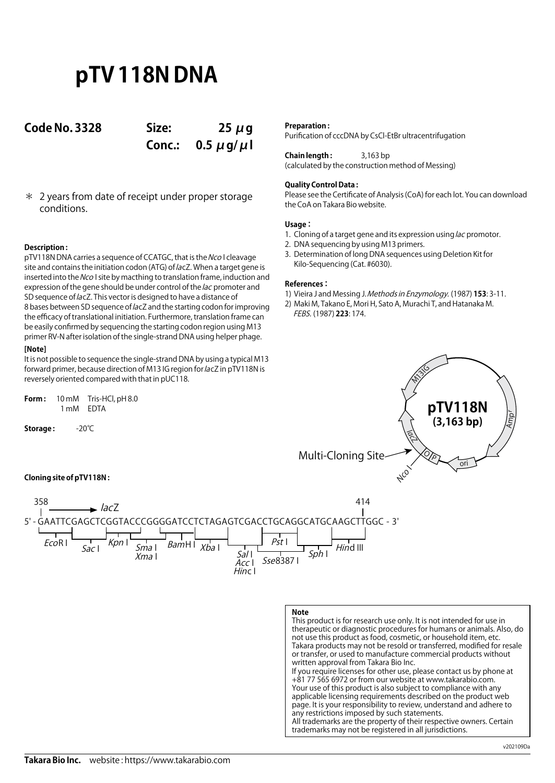# **pTV 118N DNA**

**Code No. 3328 Size: 25 μg**

**Conc.: 0.5 μg/μl**

\* 2 years from date of receipt under proper storage conditions.

### **Description :**

pTV118N DNA carries a sequence of CCATGC, that is the Nco I cleavage site and contains the initiation codon (ATG) of lacZ. When a target gene is inserted into the Nco I site by macthing to translation frame, induction and expression of the gene should be under control of the *lac* promoter and SD sequence of lacZ. This vector is designed to have a distance of 8 bases between SD sequence of lacZ and the starting codon for improving the efficacy of translational initiation. Furthermore, translation frame can be easily confirmed by sequencing the starting codon region using M13 primer RV-N after isolation of the single-strand DNA using helper phage.

### **[Note]**

It is not possible to sequence the single-strand DNA by using a typical M13 forward primer, because direction of M13 IG region for lacZ in pTV118N is reversely oriented compared with that in pUC118.

| Form : | 10 mM     | Tris-HCl, pH 8.0 |
|--------|-----------|------------------|
|        | 1 mM EDTA |                  |

**Storage :** -20℃

### **Preparation :**

Purification of cccDNA by CsCl-EtBr ultracentrifugation

**Chain length :** 3,163 bp (calculated by the construction method of Messing)

### **Quality Control Data :**

Please see the Certificate of Analysis (CoA) for each lot. You can download the CoA on Takara Bio website.

### **Usage :**

- 1. Cloning of a target gene and its expression using lac promotor.
- 2. DNA sequencing by using M13 primers.
- 3. Determination of long DNA sequences using Deletion Kit for Kilo-Sequencing (Cat. #6030).

### **References :**

- 1) Vieira J and Messing J. Methods in Enzymology. (1987) **153**: 3-11.
- 2) Maki M, Takano E, Mori H, Sato A, Murachi T, and Hatanaka M. FEBS. (1987) **223**: 174.



**Cloning site of pTV118N :**



## **Note**

This product is for research use only. It is not intended for use in therapeutic or diagnostic procedures for humans or animals. Also, do not use this product as food, cosmetic, or household item, etc. Takara products may not be resold or transferred, modified for resale or transfer, or used to manufacture commercial products without written approval from Takara Bio Inc. If you require licenses for other use, please contact us by phone at +81 77 565 6972 or from our website at www.takarabio.com. Your use of this product is also subject to compliance with any applicable licensing requirements described on the product web page. It is your responsibility to review, understand and adhere to any restrictions imposed by such statements.

All trademarks are the property of their respective owners. Certain trademarks may not be registered in all jurisdictions.